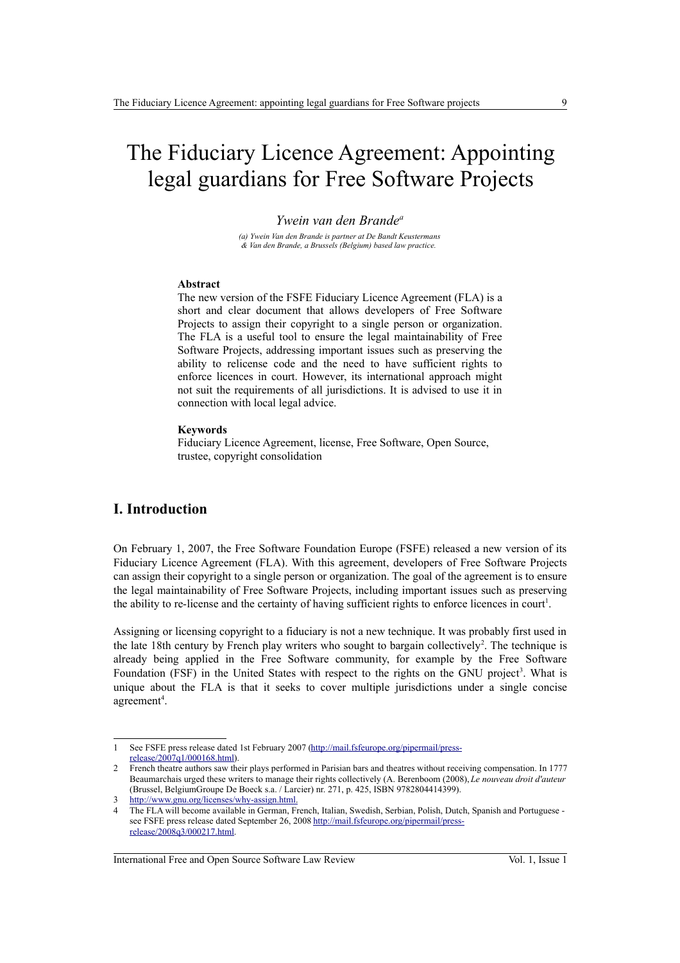# The Fiduciary Licence Agreement: Appointing legal guardians for Free Software Projects

#### *Ywein van den Brande<sup>a</sup>*

*(a) Ywein Van den Brande is partner at De Bandt Keustermans & Van den Brande, a Brussels (Belgium) based law practice.* 

#### **Abstract**

The new version of the FSFE Fiduciary Licence Agreement (FLA) is a short and clear document that allows developers of Free Software Projects to assign their copyright to a single person or organization. The FLA is a useful tool to ensure the legal maintainability of Free Software Projects, addressing important issues such as preserving the ability to relicense code and the need to have sufficient rights to enforce licences in court. However, its international approach might not suit the requirements of all jurisdictions. It is advised to use it in connection with local legal advice.

#### **Keywords**

Fiduciary Licence Agreement, license, Free Software, Open Source, trustee, copyright consolidation

## **I. Introduction**

On February 1, 2007, the Free Software Foundation Europe (FSFE) released a new version of its Fiduciary Licence Agreement (FLA). With this agreement, developers of Free Software Projects can assign their copyright to a single person or organization. The goal of the agreement is to ensure the legal maintainability of Free Software Projects, including important issues such as preserving the ability to re-license and the certainty of having sufficient rights to enforce licences in court<sup>[1](#page-0-0)</sup>.

Assigning or licensing copyright to a fiduciary is not a new technique. It was probably first used in the late 18th century by French play writers who sought to bargain collectively<sup>[2](#page-0-1)</sup>. The technique is already being applied in the Free Software community, for example by the Free Software Foundation (FSF) in the United States with respect to the rights on the GNU project<sup>[3](#page-0-2)</sup>. What is unique about the FLA is that it seeks to cover multiple jurisdictions under a single concise agreement<sup>[4](#page-0-3)</sup>.

International Free and Open Source Software Law Review Vol. 1, Issue 1

<span id="page-0-0"></span><sup>1</sup> See FSFE press release dated 1st February 2007 [\(http://mail.fsfeurope.org/pipermail/press](http://mail.fsfeurope.org/pipermail/press-release/2007q1/000168.html)[release/2007q1/000168.html\)](http://mail.fsfeurope.org/pipermail/press-release/2007q1/000168.html).

<span id="page-0-1"></span><sup>2</sup> French theatre authors saw their plays performed in Parisian bars and theatres without receiving compensation. In 1777 Beaumarchais urged these writers to manage their rights collectively (A. Berenboom (2008), *Le nouveau droit d'auteur* (Brussel, BelgiumGroupe De Boeck s.a. / Larcier) nr. 271, p. 425, ISBN 9782804414399).

<span id="page-0-2"></span>http://www.gnu.org/licenses/why-assign.html.

<span id="page-0-3"></span><sup>4</sup> The FLA will become available in German, French, Italian, Swedish, Serbian, Polish, Dutch, Spanish and Portuguese see FSFE press release dated September 26, 2008 [http://mail.fsfeurope.org/pipermail/press](http://mail.fsfeurope.org/pipermail/press-release/2008q3/000217.html)[release/2008q3/000217.html.](http://mail.fsfeurope.org/pipermail/press-release/2008q3/000217.html)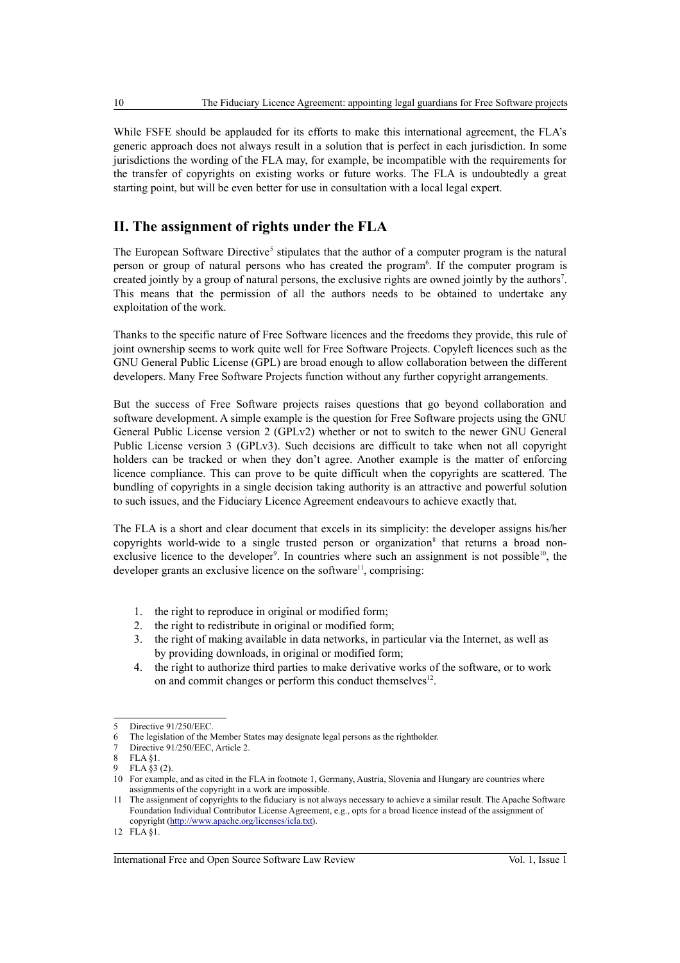While FSFE should be applauded for its efforts to make this international agreement, the FLA's generic approach does not always result in a solution that is perfect in each jurisdiction. In some jurisdictions the wording of the FLA may, for example, be incompatible with the requirements for the transfer of copyrights on existing works or future works. The FLA is undoubtedly a great starting point, but will be even better for use in consultation with a local legal expert.

## **II. The assignment of rights under the FLA**

The European Software Directive<sup>[5](#page-1-0)</sup> stipulates that the author of a computer program is the natural person or group of natural persons who has created the program<sup>[6](#page-1-1)</sup>. If the computer program is created jointly by a group of natural persons, the exclusive rights are owned jointly by the authors<sup>[7](#page-1-2)</sup>. This means that the permission of all the authors needs to be obtained to undertake any exploitation of the work.

Thanks to the specific nature of Free Software licences and the freedoms they provide, this rule of joint ownership seems to work quite well for Free Software Projects. Copyleft licences such as the GNU General Public License (GPL) are broad enough to allow collaboration between the different developers. Many Free Software Projects function without any further copyright arrangements.

But the success of Free Software projects raises questions that go beyond collaboration and software development. A simple example is the question for Free Software projects using the GNU General Public License version 2 (GPLv2) whether or not to switch to the newer GNU General Public License version 3 (GPLv3). Such decisions are difficult to take when not all copyright holders can be tracked or when they don't agree. Another example is the matter of enforcing licence compliance. This can prove to be quite difficult when the copyrights are scattered. The bundling of copyrights in a single decision taking authority is an attractive and powerful solution to such issues, and the Fiduciary Licence Agreement endeavours to achieve exactly that.

The FLA is a short and clear document that excels in its simplicity: the developer assigns his/her copyrights world-wide to a single trusted person or organization<sup>[8](#page-1-3)</sup> that returns a broad non-exclusive licence to the developer<sup>[9](#page-1-4)</sup>. In countries where such an assignment is not possible<sup>[10](#page-1-5)</sup>, the developer grants an exclusive licence on the software<sup>[11](#page-1-6)</sup>, comprising:

- 1. the right to reproduce in original or modified form;
- 2. the right to redistribute in original or modified form;
- 3. the right of making available in data networks, in particular via the Internet, as well as by providing downloads, in original or modified form;
- 4. the right to authorize third parties to make derivative works of the software, or to work on and commit changes or perform this conduct themselves<sup>[12](#page-1-7)</sup>.

<span id="page-1-0"></span><sup>5</sup> Directive 91/250/EEC.

<span id="page-1-1"></span><sup>6</sup> The legislation of the Member States may designate legal persons as the rightholder.

<span id="page-1-2"></span><sup>7</sup> Directive 91/250/EEC, Article 2.<br>8 FLA 81

<span id="page-1-3"></span> $FLA$  §1.

<span id="page-1-5"></span><span id="page-1-4"></span> $FLA $3 (2)$ 

<sup>10</sup> For example, and as cited in the FLA in footnote 1, Germany, Austria, Slovenia and Hungary are countries where assignments of the copyright in a work are impossible.

<span id="page-1-6"></span><sup>11</sup> The assignment of copyrights to the fiduciary is not always necessary to achieve a similar result. The Apache Software Foundation Individual Contributor License Agreement, e.g., opts for a broad licence instead of the assignment of copyright [\(http://www.apache.org/licenses/icla.txt\)](http://www.apache.org/licenses/icla.txt).

<span id="page-1-7"></span><sup>12</sup> FLA §1.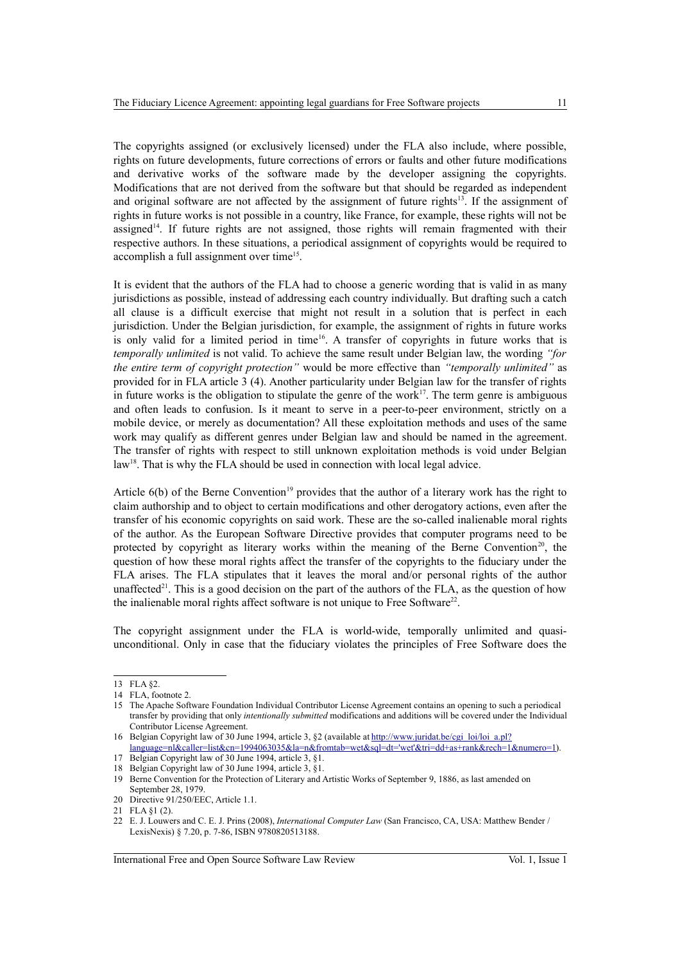The copyrights assigned (or exclusively licensed) under the FLA also include, where possible, rights on future developments, future corrections of errors or faults and other future modifications and derivative works of the software made by the developer assigning the copyrights. Modifications that are not derived from the software but that should be regarded as independent and original software are not affected by the assignment of future rights $13$ . If the assignment of rights in future works is not possible in a country, like France, for example, these rights will not be assigned<sup>[14](#page-2-1)</sup>. If future rights are not assigned, those rights will remain fragmented with their respective authors. In these situations, a periodical assignment of copyrights would be required to accomplish a full assignment over time<sup>[15](#page-2-2)</sup>.

It is evident that the authors of the FLA had to choose a generic wording that is valid in as many jurisdictions as possible, instead of addressing each country individually. But drafting such a catch all clause is a difficult exercise that might not result in a solution that is perfect in each jurisdiction. Under the Belgian jurisdiction, for example, the assignment of rights in future works is only valid for a limited period in time<sup>[16](#page-2-3)</sup>. A transfer of copyrights in future works that is *temporally unlimited* is not valid. To achieve the same result under Belgian law, the wording *"for the entire term of copyright protection"* would be more effective than *"temporally unlimited"* as provided for in FLA article 3 (4). Another particularity under Belgian law for the transfer of rights in future works is the obligation to stipulate the genre of the work<sup>[17](#page-2-4)</sup>. The term genre is ambiguous and often leads to confusion. Is it meant to serve in a peer-to-peer environment, strictly on a mobile device, or merely as documentation? All these exploitation methods and uses of the same work may qualify as different genres under Belgian law and should be named in the agreement. The transfer of rights with respect to still unknown exploitation methods is void under Belgian law<sup>[18](#page-2-5)</sup>. That is why the FLA should be used in connection with local legal advice.

Article  $6(b)$  of the Berne Convention<sup>[19](#page-2-6)</sup> provides that the author of a literary work has the right to claim authorship and to object to certain modifications and other derogatory actions, even after the transfer of his economic copyrights on said work. These are the so-called inalienable moral rights of the author. As the European Software Directive provides that computer programs need to be protected by copyright as literary works within the meaning of the Berne Convention<sup>[20](#page-2-7)</sup>, the question of how these moral rights affect the transfer of the copyrights to the fiduciary under the FLA arises. The FLA stipulates that it leaves the moral and/or personal rights of the author unaffected<sup>[21](#page-2-8)</sup>. This is a good decision on the part of the authors of the FLA, as the question of how the inalienable moral rights affect software is not unique to Free Software $22$ .

The copyright assignment under the FLA is world-wide, temporally unlimited and quasiunconditional. Only in case that the fiduciary violates the principles of Free Software does the

<span id="page-2-0"></span><sup>13</sup> FLA §2.

<span id="page-2-1"></span><sup>14</sup> FLA, footnote 2.

<span id="page-2-2"></span><sup>15</sup> The Apache Software Foundation Individual Contributor License Agreement contains an opening to such a periodical transfer by providing that only *intentionally submitted* modifications and additions will be covered under the Individual Contributor License Agreement.

<span id="page-2-3"></span><sup>16</sup> Belgian Copyright law of 30 June 1994, article 3, §2 (available at [http://www.juridat.be/cgi\\_loi/loi\\_a.pl?](http://www.juridat.be/cgi_loi/loi_a.pl?language=nl&caller=list&cn=1994063035&la=n&fromtab=wet&sql=dt=)

<span id="page-2-4"></span>[language=nl&caller=list&cn=1994063035&la=n&fromtab=wet&sql=dt='wet'&tri=dd+as+rank&rech=1&numero=1\)](http://www.juridat.be/cgi_loi/loi_a.pl?language=nl&caller=list&cn=1994063035&la=n&fromtab=wet&sql=dt=). 17 Belgian Copyright law of 30 June 1994, article 3, §1.

<span id="page-2-5"></span><sup>18</sup> Belgian Copyright law of 30 June 1994, article 3, §1.

<span id="page-2-6"></span><sup>19</sup> Berne Convention for the Protection of Literary and Artistic Works of September 9, 1886, as last amended on September 28, 1979.

<span id="page-2-7"></span><sup>20</sup> Directive 91/250/EEC, Article 1.1.

<span id="page-2-8"></span><sup>21</sup> FLA §1 (2).

<span id="page-2-9"></span><sup>22</sup> E. J. Louwers and C. E. J. Prins (2008), *International Computer Law* (San Francisco, CA, USA: Matthew Bender / LexisNexis) § 7.20, p. 7-86, ISBN 9780820513188.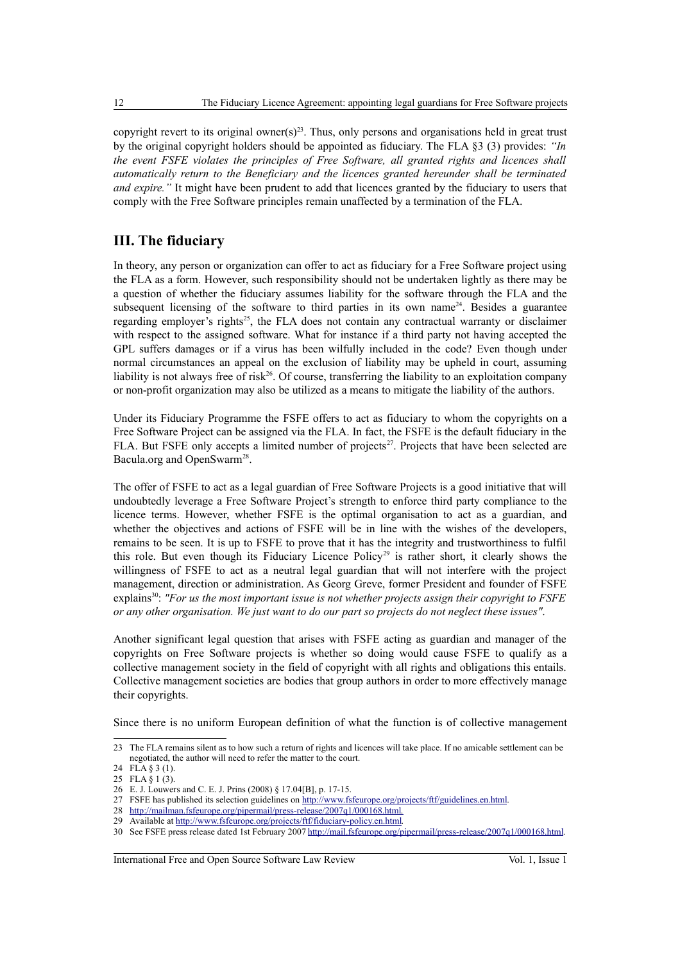copyright revert to its original owner(s)<sup>[23](#page-3-0)</sup>. Thus, only persons and organisations held in great trust by the original copyright holders should be appointed as fiduciary. The FLA §3 (3) provides: *"In the event FSFE violates the principles of Free Software, all granted rights and licences shall automatically return to the Beneficiary and the licences granted hereunder shall be terminated and expire."* It might have been prudent to add that licences granted by the fiduciary to users that comply with the Free Software principles remain unaffected by a termination of the FLA.

## **III. The fiduciary**

In theory, any person or organization can offer to act as fiduciary for a Free Software project using the FLA as a form. However, such responsibility should not be undertaken lightly as there may be a question of whether the fiduciary assumes liability for the software through the FLA and the subsequent licensing of the software to third parties in its own name<sup>[24](#page-3-1)</sup>. Besides a guarantee regarding employer's rights<sup>[25](#page-3-2)</sup>, the FLA does not contain any contractual warranty or disclaimer with respect to the assigned software. What for instance if a third party not having accepted the GPL suffers damages or if a virus has been wilfully included in the code? Even though under normal circumstances an appeal on the exclusion of liability may be upheld in court, assuming liability is not always free of risk $^{26}$  $^{26}$  $^{26}$ . Of course, transferring the liability to an exploitation company or non-profit organization may also be utilized as a means to mitigate the liability of the authors.

Under its Fiduciary Programme the FSFE offers to act as fiduciary to whom the copyrights on a Free Software Project can be assigned via the FLA. In fact, the FSFE is the default fiduciary in the FLA. But FSFE only accepts a limited number of projects<sup>[27](#page-3-4)</sup>. Projects that have been selected are Bacula.org and OpenSwarm<sup>[28](#page-3-5)</sup>.

The offer of FSFE to act as a legal guardian of Free Software Projects is a good initiative that will undoubtedly leverage a Free Software Project's strength to enforce third party compliance to the licence terms. However, whether FSFE is the optimal organisation to act as a guardian, and whether the objectives and actions of FSFE will be in line with the wishes of the developers, remains to be seen. It is up to FSFE to prove that it has the integrity and trustworthiness to fulfil this role. But even though its Fiduciary Licence Policy<sup>[29](#page-3-6)</sup> is rather short, it clearly shows the willingness of FSFE to act as a neutral legal guardian that will not interfere with the project management, direction or administration. As Georg Greve, former President and founder of FSFE explains<sup>[30](#page-3-7)</sup>: *"For us the most important issue is not whether projects assign their copyright to FSFE or any other organisation. We just want to do our part so projects do not neglect these issues"*.

Another significant legal question that arises with FSFE acting as guardian and manager of the copyrights on Free Software projects is whether so doing would cause FSFE to qualify as a collective management society in the field of copyright with all rights and obligations this entails. Collective management societies are bodies that group authors in order to more effectively manage their copyrights.

Since there is no uniform European definition of what the function is of collective management

International Free and Open Source Software Law Review Vol. 1, Issue 1

<span id="page-3-0"></span><sup>23</sup> The FLA remains silent as to how such a return of rights and licences will take place. If no amicable settlement can be negotiated, the author will need to refer the matter to the court.

<span id="page-3-1"></span><sup>24</sup> FLA § 3 (1).

<span id="page-3-2"></span><sup>25</sup> FLA § 1 (3).

<span id="page-3-3"></span><sup>26</sup> E. J. Louwers and C. E. J. Prins (2008) § 17.04[B], p. 17-15.

<span id="page-3-4"></span><sup>27</sup> FSFE has published its selection guidelines on [http://www.fsfeurope.org/projects/ftf/guidelines.en.html.](http://www.fsfeurope.org/projects/ftf/guidelines.en.html)

<span id="page-3-5"></span><sup>28</sup> [http://mailman.fsfeurope.org/pipermail/press-release/2007q1/000168.html.](http://mailman.fsfeurope.org/pipermail/press-release/2007q1/000168.html)

<span id="page-3-6"></span><sup>29</sup> Available at [http://www.fsfeurope.org/projects/ftf/fiduciary-policy.en.html.](http://www.fsfeurope.org/projects/ftf/fiduciary-policy.en.html)

<span id="page-3-7"></span><sup>30</sup> See FSFE press release dated 1st February 2007 [http://mail.fsfeurope.org/pipermail/press-release/2007q1/000168.html.](http://mail.fsfeurope.org/pipermail/press-release/2007q1/000168.html)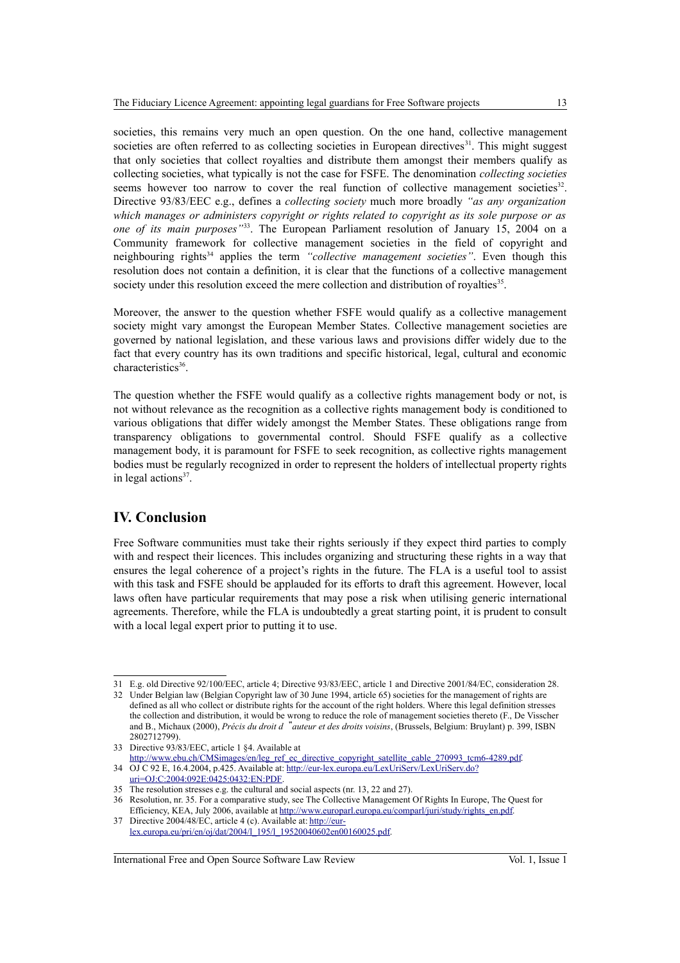societies, this remains very much an open question. On the one hand, collective management societies are often referred to as collecting societies in European directives $3<sup>1</sup>$ . This might suggest that only societies that collect royalties and distribute them amongst their members qualify as collecting societies, what typically is not the case for FSFE. The denomination *collecting societies* seems however too narrow to cover the real function of collective management societies $3<sup>32</sup>$  $3<sup>32</sup>$  $3<sup>32</sup>$ . Directive 93/83/EEC e.g., defines a *collecting society* much more broadly *"as any organization which manages or administers copyright or rights related to copyright as its sole purpose or as one of its main purposes"*[33](#page-4-2). The European Parliament resolution of January 15, 2004 on a Community framework for collective management societies in the field of copyright and neighbouring rights<sup>[34](#page-4-3)</sup> applies the term "collective management societies". Even though this resolution does not contain a definition, it is clear that the functions of a collective management society under this resolution exceed the mere collection and distribution of royalties<sup>[35](#page-4-4)</sup>.

Moreover, the answer to the question whether FSFE would qualify as a collective management society might vary amongst the European Member States. Collective management societies are governed by national legislation, and these various laws and provisions differ widely due to the fact that every country has its own traditions and specific historical, legal, cultural and economic characteristics<sup>[36](#page-4-5)</sup>.

The question whether the FSFE would qualify as a collective rights management body or not, is not without relevance as the recognition as a collective rights management body is conditioned to various obligations that differ widely amongst the Member States. These obligations range from transparency obligations to governmental control. Should FSFE qualify as a collective management body, it is paramount for FSFE to seek recognition, as collective rights management bodies must be regularly recognized in order to represent the holders of intellectual property rights in legal actions<sup>[37](#page-4-6)</sup>.

### **IV. Conclusion**

Free Software communities must take their rights seriously if they expect third parties to comply with and respect their licences. This includes organizing and structuring these rights in a way that ensures the legal coherence of a project's rights in the future. The FLA is a useful tool to assist with this task and FSFE should be applauded for its efforts to draft this agreement. However, local laws often have particular requirements that may pose a risk when utilising generic international agreements. Therefore, while the FLA is undoubtedly a great starting point, it is prudent to consult with a local legal expert prior to putting it to use.

International Free and Open Source Software Law Review Vol. 1, Issue 1

<span id="page-4-0"></span><sup>31</sup> E.g. old Directive 92/100/EEC, article 4; Directive 93/83/EEC, article 1 and Directive 2001/84/EC, consideration 28.

<span id="page-4-1"></span><sup>32</sup> Under Belgian law (Belgian Copyright law of 30 June 1994, article 65) societies for the management of rights are defined as all who collect or distribute rights for the account of the right holders. Where this legal definition stresses the collection and distribution, it would be wrong to reduce the role of management societies thereto (F., De Visscher and B., Michaux (2000), *Précis du droit d*"*auteur et des droits voisins*, (Brussels, Belgium: Bruylant) p. 399, ISBN

<span id="page-4-2"></span><sup>2802712799).</sup> 33 Directive 93/83/EEC, article 1 §4. Available at

[http://www.ebu.ch/CMSimages/en/leg\\_ref\\_ec\\_directive\\_copyright\\_satellite\\_cable\\_270993\\_tcm6-4289.pdf.](http://www.ebu.ch/CMSimages/en/leg_ref_ec_directive_copyright_satellite_cable_270993_tcm6-4289.pdf) 34 OJ C 92 E, 16.4.2004, p.425. Available at: [http://eur-lex.europa.eu/LexUriServ/LexUriServ.do?](http://eur-lex.europa.eu/LexUriServ/LexUriServ.do?uri=OJ:C:2004:092E:0425:0432:EN:PDF)

<span id="page-4-3"></span>uri=OJ:C:2004:092E:0425:0432:EN:PDF

<span id="page-4-4"></span><sup>35</sup> The resolution stresses e.g. the cultural and social aspects (nr. 13, 22 and 27).

<span id="page-4-5"></span><sup>36</sup> Resolution, nr. 35. For a comparative study, see The Collective Management Of Rights In Europe, The Quest for Efficiency, KEA, July 2006, available at [http://www.europarl.europa.eu/comparl/juri/study/rights\\_en.pdf.](http://www.europarl.europa.eu/comparl/juri/study/rights_en.pdf)

<span id="page-4-6"></span><sup>37</sup> Directive 2004/48/EC, article 4 (c). Available at: [http://eur](http://eur-lex.europa.eu/pri/en/oj/dat/2004/l_195/l_19520040602en00160025.pdf)[lex.europa.eu/pri/en/oj/dat/2004/l\\_195/l\\_19520040602en00160025.pdf.](http://eur-lex.europa.eu/pri/en/oj/dat/2004/l_195/l_19520040602en00160025.pdf)